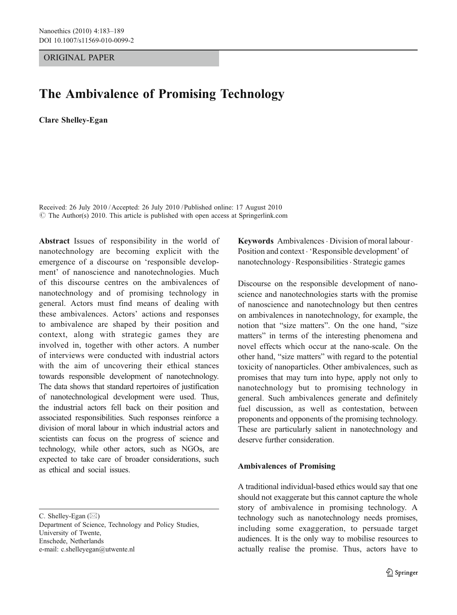ORIGINAL PAPER

# The Ambivalence of Promising Technology

Clare Shelley-Egan

Received: 26 July 2010 /Accepted: 26 July 2010 / Published online: 17 August 2010  $\odot$  The Author(s) 2010. This article is published with open access at Springerlink.com

Abstract Issues of responsibility in the world of nanotechnology are becoming explicit with the emergence of a discourse on 'responsible development' of nanoscience and nanotechnologies. Much of this discourse centres on the ambivalences of nanotechnology and of promising technology in general. Actors must find means of dealing with these ambivalences. Actors' actions and responses to ambivalence are shaped by their position and context, along with strategic games they are involved in, together with other actors. A number of interviews were conducted with industrial actors with the aim of uncovering their ethical stances towards responsible development of nanotechnology. The data shows that standard repertoires of justification of nanotechnological development were used. Thus, the industrial actors fell back on their position and associated responsibilities. Such responses reinforce a division of moral labour in which industrial actors and scientists can focus on the progress of science and technology, while other actors, such as NGOs, are expected to take care of broader considerations, such as ethical and social issues.

C. Shelley-Egan  $(\boxtimes)$ 

Department of Science, Technology and Policy Studies, University of Twente, Enschede, Netherlands e-mail: c.shelleyegan@utwente.nl

Keywords Ambivalences · Division of moral labour · Position and context . 'Responsible development' of nanotechnology. Responsibilities . Strategic games

Discourse on the responsible development of nanoscience and nanotechnologies starts with the promise of nanoscience and nanotechnology but then centres on ambivalences in nanotechnology, for example, the notion that "size matters". On the one hand, "size matters" in terms of the interesting phenomena and novel effects which occur at the nano-scale. On the other hand, "size matters" with regard to the potential toxicity of nanoparticles. Other ambivalences, such as promises that may turn into hype, apply not only to nanotechnology but to promising technology in general. Such ambivalences generate and definitely fuel discussion, as well as contestation, between proponents and opponents of the promising technology. These are particularly salient in nanotechnology and deserve further consideration.

#### Ambivalences of Promising

A traditional individual-based ethics would say that one should not exaggerate but this cannot capture the whole story of ambivalence in promising technology. A technology such as nanotechnology needs promises, including some exaggeration, to persuade target audiences. It is the only way to mobilise resources to actually realise the promise. Thus, actors have to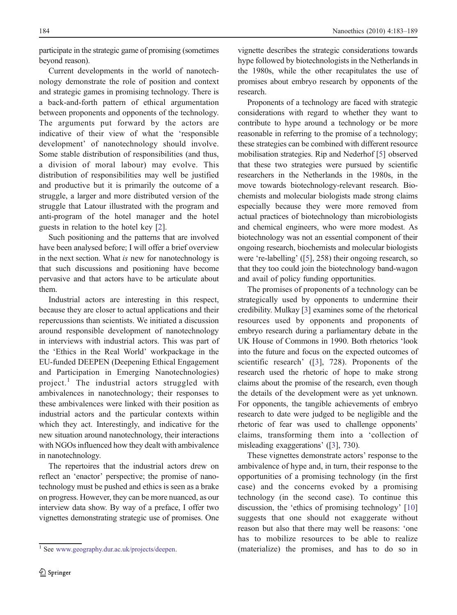participate in the strategic game of promising (sometimes beyond reason).

Current developments in the world of nanotechnology demonstrate the role of position and context and strategic games in promising technology. There is a back-and-forth pattern of ethical argumentation between proponents and opponents of the technology. The arguments put forward by the actors are indicative of their view of what the 'responsible development' of nanotechnology should involve. Some stable distribution of responsibilities (and thus, a division of moral labour) may evolve. This distribution of responsibilities may well be justified and productive but it is primarily the outcome of a struggle, a larger and more distributed version of the struggle that Latour illustrated with the program and anti-program of the hotel manager and the hotel guests in relation to the hotel key [\[2](#page-6-0)].

Such positioning and the patterns that are involved have been analysed before; I will offer a brief overview in the next section. What is new for nanotechnology is that such discussions and positioning have become pervasive and that actors have to be articulate about them.

Industrial actors are interesting in this respect, because they are closer to actual applications and their repercussions than scientists. We initiated a discussion around responsible development of nanotechnology in interviews with industrial actors. This was part of the 'Ethics in the Real World' workpackage in the EU-funded DEEPEN (Deepening Ethical Engagement and Participation in Emerging Nanotechnologies) project.<sup>1</sup> The industrial actors struggled with ambivalences in nanotechnology; their responses to these ambivalences were linked with their position as industrial actors and the particular contexts within which they act. Interestingly, and indicative for the new situation around nanotechnology, their interactions with NGOs influenced how they dealt with ambivalence in nanotechnology.

The repertoires that the industrial actors drew on reflect an 'enactor' perspective; the promise of nanotechnology must be pushed and ethics is seen as a brake on progress. However, they can be more nuanced, as our interview data show. By way of a preface, I offer two vignettes demonstrating strategic use of promises. One vignette describes the strategic considerations towards hype followed by biotechnologists in the Netherlands in the 1980s, while the other recapitulates the use of promises about embryo research by opponents of the research.

Proponents of a technology are faced with strategic considerations with regard to whether they want to contribute to hype around a technology or be more reasonable in referring to the promise of a technology; these strategies can be combined with different resource mobilisation strategies. Rip and Nederhof [[5\]](#page-6-0) observed that these two strategies were pursued by scientific researchers in the Netherlands in the 1980s, in the move towards biotechnology-relevant research. Biochemists and molecular biologists made strong claims especially because they were more removed from actual practices of biotechnology than microbiologists and chemical engineers, who were more modest. As biotechnology was not an essential component of their ongoing research, biochemists and molecular biologists were 're-labelling' ([[5\]](#page-6-0), 258) their ongoing research, so that they too could join the biotechnology band-wagon and avail of policy funding opportunities.

The promises of proponents of a technology can be strategically used by opponents to undermine their credibility. Mulkay [\[3](#page-6-0)] examines some of the rhetorical resources used by opponents and proponents of embryo research during a parliamentary debate in the UK House of Commons in 1990. Both rhetorics 'look into the future and focus on the expected outcomes of scientific research' ([\[3](#page-6-0)], 728). Proponents of the research used the rhetoric of hope to make strong claims about the promise of the research, even though the details of the development were as yet unknown. For opponents, the tangible achievements of embryo research to date were judged to be negligible and the rhetoric of fear was used to challenge opponents' claims, transforming them into a 'collection of misleading exaggerations' ([\[3\]](#page-6-0), 730).

These vignettes demonstrate actors' response to the ambivalence of hype and, in turn, their response to the opportunities of a promising technology (in the first case) and the concerns evoked by a promising technology (in the second case). To continue this discussion, the 'ethics of promising technology' [\[10](#page-6-0)] suggests that one should not exaggerate without reason but also that there may well be reasons: 'one has to mobilize resources to be able to realize <sup>1</sup> See [www.geography.dur.ac.uk/projects/deepen.](http://www.geography.dur.ac.uk/projects/deepen) (materialize) the promises, and has to do so in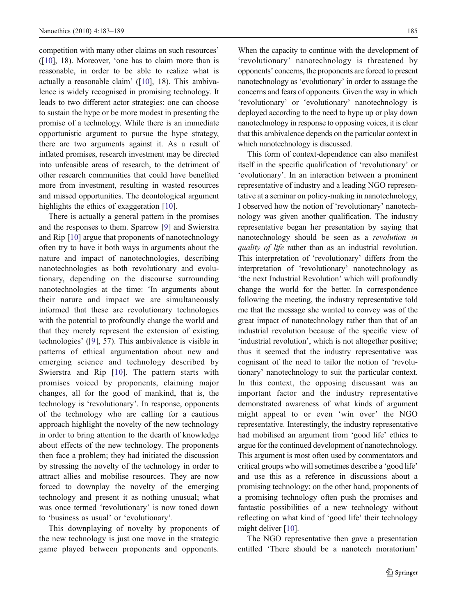competition with many other claims on such resources' ([\[10\]](#page-6-0), 18). Moreover, 'one has to claim more than is reasonable, in order to be able to realize what is actually a reasonable claim' ([\[10\]](#page-6-0), 18). This ambivalence is widely recognised in promising technology. It leads to two different actor strategies: one can choose to sustain the hype or be more modest in presenting the promise of a technology. While there is an immediate opportunistic argument to pursue the hype strategy, there are two arguments against it. As a result of inflated promises, research investment may be directed into unfeasible areas of research, to the detriment of other research communities that could have benefited more from investment, resulting in wasted resources and missed opportunities. The deontological argument highlights the ethics of exaggeration [\[10](#page-6-0)].

There is actually a general pattern in the promises and the responses to them. Sparrow [\[9](#page-6-0)] and Swierstra and Rip [[10\]](#page-6-0) argue that proponents of nanotechnology often try to have it both ways in arguments about the nature and impact of nanotechnologies, describing nanotechnologies as both revolutionary and evolutionary, depending on the discourse surrounding nanotechnologies at the time: 'In arguments about their nature and impact we are simultaneously informed that these are revolutionary technologies with the potential to profoundly change the world and that they merely represent the extension of existing technologies' ([\[9](#page-6-0)], 57). This ambivalence is visible in patterns of ethical argumentation about new and emerging science and technology described by Swierstra and Rip [[10](#page-6-0)]. The pattern starts with promises voiced by proponents, claiming major changes, all for the good of mankind, that is, the technology is 'revolutionary'. In response, opponents of the technology who are calling for a cautious approach highlight the novelty of the new technology in order to bring attention to the dearth of knowledge about effects of the new technology. The proponents then face a problem; they had initiated the discussion by stressing the novelty of the technology in order to attract allies and mobilise resources. They are now forced to downplay the novelty of the emerging technology and present it as nothing unusual; what was once termed 'revolutionary' is now toned down to 'business as usual' or 'evolutionary'.

This downplaying of novelty by proponents of the new technology is just one move in the strategic game played between proponents and opponents.

When the capacity to continue with the development of 'revolutionary' nanotechnology is threatened by opponents' concerns, the proponents are forced to present nanotechnology as 'evolutionary' in order to assuage the concerns and fears of opponents. Given the way in which 'revolutionary' or 'evolutionary' nanotechnology is deployed according to the need to hype up or play down nanotechnology in response to opposing voices, it is clear that this ambivalence depends on the particular context in which nanotechnology is discussed.

This form of context-dependence can also manifest itself in the specific qualification of 'revolutionary' or 'evolutionary'. In an interaction between a prominent representative of industry and a leading NGO representative at a seminar on policy-making in nanotechnology, I observed how the notion of 'revolutionary' nanotechnology was given another qualification. The industry representative began her presentation by saying that nanotechnology should be seen as a *revolution in* quality of life rather than as an industrial revolution. This interpretation of 'revolutionary' differs from the interpretation of 'revolutionary' nanotechnology as 'the next Industrial Revolution' which will profoundly change the world for the better. In correspondence following the meeting, the industry representative told me that the message she wanted to convey was of the great impact of nanotechnology rather than that of an industrial revolution because of the specific view of 'industrial revolution', which is not altogether positive; thus it seemed that the industry representative was cognisant of the need to tailor the notion of 'revolutionary' nanotechnology to suit the particular context. In this context, the opposing discussant was an important factor and the industry representative demonstrated awareness of what kinds of argument might appeal to or even 'win over' the NGO representative. Interestingly, the industry representative had mobilised an argument from 'good life' ethics to argue for the continued development of nanotechnology. This argument is most often used by commentators and critical groups who will sometimes describe a 'good life' and use this as a reference in discussions about a promising technology; on the other hand, proponents of a promising technology often push the promises and fantastic possibilities of a new technology without reflecting on what kind of 'good life' their technology might deliver [[10\]](#page-6-0).

The NGO representative then gave a presentation entitled 'There should be a nanotech moratorium'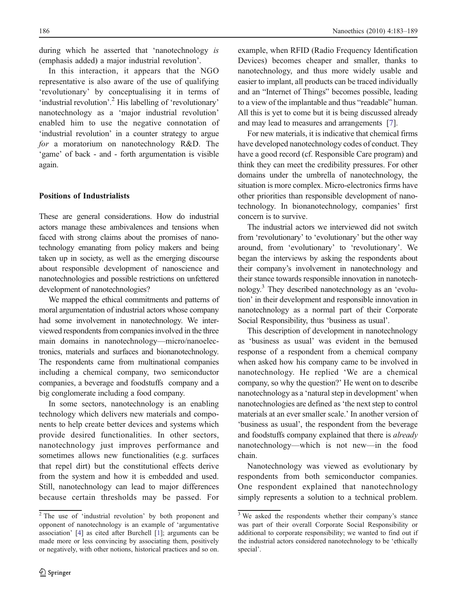during which he asserted that 'nanotechnology is (emphasis added) a major industrial revolution'.

In this interaction, it appears that the NGO representative is also aware of the use of qualifying 'revolutionary' by conceptualising it in terms of 'industrial revolution'.<sup>2</sup> His labelling of 'revolutionary' nanotechnology as a 'major industrial revolution' enabled him to use the negative connotation of 'industrial revolution' in a counter strategy to argue for a moratorium on nanotechnology R&D. The 'game' of back - and - forth argumentation is visible again.

## Positions of Industrialists

These are general considerations. How do industrial actors manage these ambivalences and tensions when faced with strong claims about the promises of nanotechnology emanating from policy makers and being taken up in society, as well as the emerging discourse about responsible development of nanoscience and nanotechnologies and possible restrictions on unfettered development of nanotechnologies?

We mapped the ethical commitments and patterns of moral argumentation of industrial actors whose company had some involvement in nanotechnology. We interviewed respondents from companies involved in the three main domains in nanotechnology—micro/nanoelectronics, materials and surfaces and bionanotechnology. The respondents came from multinational companies including a chemical company, two semiconductor companies, a beverage and foodstuffs company and a big conglomerate including a food company.

In some sectors, nanotechnology is an enabling technology which delivers new materials and components to help create better devices and systems which provide desired functionalities. In other sectors, nanotechnology just improves performance and sometimes allows new functionalities (e.g. surfaces that repel dirt) but the constitutional effects derive from the system and how it is embedded and used. Still, nanotechnology can lead to major differences because certain thresholds may be passed. For example, when RFID (Radio Frequency Identification Devices) becomes cheaper and smaller, thanks to nanotechnology, and thus more widely usable and easier to implant, all products can be traced individually and an "Internet of Things" becomes possible, leading to a view of the implantable and thus "readable" human. All this is yet to come but it is being discussed already and may lead to measures and arrangements [\[7](#page-6-0)].

For new materials, it is indicative that chemical firms have developed nanotechnology codes of conduct. They have a good record (cf. Responsible Care program) and think they can meet the credibility pressures. For other domains under the umbrella of nanotechnology, the situation is more complex. Micro-electronics firms have other priorities than responsible development of nanotechnology. In bionanotechnology, companies' first concern is to survive.

The industrial actors we interviewed did not switch from 'revolutionary' to 'evolutionary' but the other way around, from 'evolutionary' to 'revolutionary'. We began the interviews by asking the respondents about their company's involvement in nanotechnology and their stance towards responsible innovation in nanotechnology.3 They described nanotechnology as an 'evolution' in their development and responsible innovation in nanotechnology as a normal part of their Corporate Social Responsibility, thus 'business as usual'.

This description of development in nanotechnology as 'business as usual' was evident in the bemused response of a respondent from a chemical company when asked how his company came to be involved in nanotechnology. He replied 'We are a chemical company, so why the question?' He went on to describe nanotechnology as a 'natural step in development' when nanotechnologies are defined as 'the next step to control materials at an ever smaller scale.' In another version of 'business as usual', the respondent from the beverage and foodstuffs company explained that there is already nanotechnology—which is not new—in the food chain.

Nanotechnology was viewed as evolutionary by respondents from both semiconductor companies. One respondent explained that nanotechnology simply represents a solution to a technical problem.

<sup>2</sup> The use of 'industrial revolution' by both proponent and opponent of nanotechnology is an example of 'argumentative association' [\[4](#page-6-0)] as cited after Burchell [[1](#page-6-0)]; arguments can be made more or less convincing by associating them, positively or negatively, with other notions, historical practices and so on.

<sup>&</sup>lt;sup>3</sup> We asked the respondents whether their company's stance was part of their overall Corporate Social Responsibility or additional to corporate responsibility; we wanted to find out if the industrial actors considered nanotechnology to be 'ethically special'.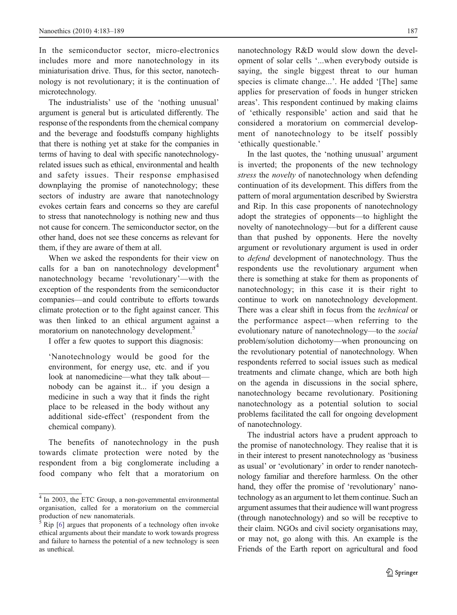In the semiconductor sector, micro-electronics includes more and more nanotechnology in its miniaturisation drive. Thus, for this sector, nanotechnology is not revolutionary; it is the continuation of microtechnology.

The industrialists' use of the 'nothing unusual' argument is general but is articulated differently. The response of the respondents from the chemical company and the beverage and foodstuffs company highlights that there is nothing yet at stake for the companies in terms of having to deal with specific nanotechnologyrelated issues such as ethical, environmental and health and safety issues. Their response emphasised downplaying the promise of nanotechnology; these sectors of industry are aware that nanotechnology evokes certain fears and concerns so they are careful to stress that nanotechnology is nothing new and thus not cause for concern. The semiconductor sector, on the other hand, does not see these concerns as relevant for them, if they are aware of them at all.

When we asked the respondents for their view on calls for a ban on nanotechnology development<sup>4</sup> nanotechnology became 'revolutionary'—with the exception of the respondents from the semiconductor companies—and could contribute to efforts towards climate protection or to the fight against cancer. This was then linked to an ethical argument against a moratorium on nanotechnology development.<sup>5</sup>

I offer a few quotes to support this diagnosis:

'Nanotechnology would be good for the environment, for energy use, etc. and if you look at nanomedicine—what they talk about nobody can be against it... if you design a medicine in such a way that it finds the right place to be released in the body without any additional side-effect' (respondent from the chemical company).

The benefits of nanotechnology in the push towards climate protection were noted by the respondent from a big conglomerate including a food company who felt that a moratorium on nanotechnology R&D would slow down the development of solar cells '...when everybody outside is saying, the single biggest threat to our human species is climate change...'. He added '[The] same applies for preservation of foods in hunger stricken areas'. This respondent continued by making claims of 'ethically responsible' action and said that he considered a moratorium on commercial development of nanotechnology to be itself possibly 'ethically questionable.'

In the last quotes, the 'nothing unusual' argument is inverted; the proponents of the new technology stress the *novelty* of nanotechnology when defending continuation of its development. This differs from the pattern of moral argumentation described by Swierstra and Rip. In this case proponents of nanotechnology adopt the strategies of opponents—to highlight the novelty of nanotechnology—but for a different cause than that pushed by opponents. Here the novelty argument or revolutionary argument is used in order to defend development of nanotechnology. Thus the respondents use the revolutionary argument when there is something at stake for them as proponents of nanotechnology; in this case it is their right to continue to work on nanotechnology development. There was a clear shift in focus from the technical or the performance aspect—when referring to the evolutionary nature of nanotechnology—to the social problem/solution dichotomy—when pronouncing on the revolutionary potential of nanotechnology. When respondents referred to social issues such as medical treatments and climate change, which are both high on the agenda in discussions in the social sphere, nanotechnology became revolutionary. Positioning nanotechnology as a potential solution to social problems facilitated the call for ongoing development of nanotechnology.

The industrial actors have a prudent approach to the promise of nanotechnology. They realise that it is in their interest to present nanotechnology as 'business as usual' or 'evolutionary' in order to render nanotechnology familiar and therefore harmless. On the other hand, they offer the promise of 'revolutionary' nanotechnology as an argument to let them continue. Such an argument assumes that their audience will want progress (through nanotechnology) and so will be receptive to their claim. NGOs and civil society organisations may, or may not, go along with this. An example is the Friends of the Earth report on agricultural and food

<sup>4</sup> In 2003, the ETC Group, a non-governmental environmental organisation, called for a moratorium on the commercial production of new nanomaterials.

<sup>5</sup> Rip [\[6\]](#page-6-0) argues that proponents of a technology often invoke ethical arguments about their mandate to work towards progress and failure to harness the potential of a new technology is seen as unethical.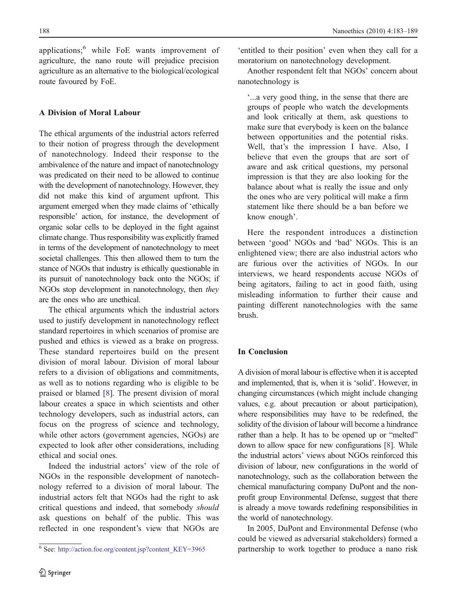applications;<sup>6</sup> while FoE wants improvement of agriculture, the nano route will prejudice precision agriculture as an alternative to the biological/ecological route favoured by FoE.

## A Division of Moral Labour

The ethical arguments of the industrial actors referred to their notion of progress through the development of nanotechnology. Indeed their response to the ambivalence of the nature and impact of nanotechnology was predicated on their need to be allowed to continue with the development of nanotechnology. However, they did not make this kind of argument upfront. This argument emerged when they made claims of 'ethically responsible' action, for instance, the development of organic solar cells to be deployed in the fight against climate change. Thus responsibility was explicitly framed in terms of the development of nanotechnology to meet societal challenges. This then allowed them to turn the stance of NGOs that industry is ethically questionable in its pursuit of nanotechnology back onto the NGOs; if NGOs stop development in nanotechnology, then they are the ones who are unethical.

The ethical arguments which the industrial actors used to justify development in nanotechnology reflect standard repertoires in which scenarios of promise are pushed and ethics is viewed as a brake on progress. These standard repertoires build on the present division of moral labour. Division of moral labour refers to a division of obligations and commitments, as well as to notions regarding who is eligible to be praised or blamed [[8\]](#page-6-0). The present division of moral labour creates a space in which scientists and other technology developers, such as industrial actors, can focus on the progress of science and technology, while other actors (government agencies, NGOs) are expected to look after other considerations, including ethical and social ones.

Indeed the industrial actors' view of the role of NGOs in the responsible development of nanotechnology referred to a division of moral labour. The industrial actors felt that NGOs had the right to ask critical questions and indeed, that somebody should ask questions on behalf of the public. This was reflected in one respondent's view that NGOs are

'entitled to their position' even when they call for a moratorium on nanotechnology development.

Another respondent felt that NGOs' concern about nanotechnology is

'...a very good thing, in the sense that there are groups of people who watch the developments and look critically at them, ask questions to make sure that everybody is keen on the balance between opportunities and the potential risks. Well, that's the impression I have. Also, I believe that even the groups that are sort of aware and ask critical questions, my personal impression is that they are also looking for the balance about what is really the issue and only the ones who are very political will make a firm statement like there should be a ban before we know enough'.

Here the respondent introduces a distinction between 'good' NGOs and 'bad' NGOs. This is an enlightened view; there are also industrial actors who are furious over the activities of NGOs. In our interviews, we heard respondents accuse NGOs of being agitators, failing to act in good faith, using misleading information to further their cause and painting different nanotechnologies with the same brush.

## In Conclusion

A division of moral labour is effective when it is accepted and implemented, that is, when it is 'solid'. However, in changing circumstances (which might include changing values, e.g. about precaution or about participation), where responsibilities may have to be redefined, the solidity of the division of labour will become a hindrance rather than a help. It has to be opened up or "melted" down to allow space for new configurations [\[8\]](#page-6-0). While the industrial actors' views about NGOs reinforced this division of labour, new configurations in the world of nanotechnology, such as the collaboration between the chemical manufacturing company DuPont and the nonprofit group Environmental Defense, suggest that there is already a move towards redefining responsibilities in the world of nanotechnology.

In 2005, DuPont and Environmental Defense (who could be viewed as adversarial stakeholders) formed a partnership to work together to produce a nano risk <sup>6</sup> See: [http://action.foe.org/content.jsp?content\\_KEY=3965](http://www.action.foe.org/content.jsp?content_KEY=3965)